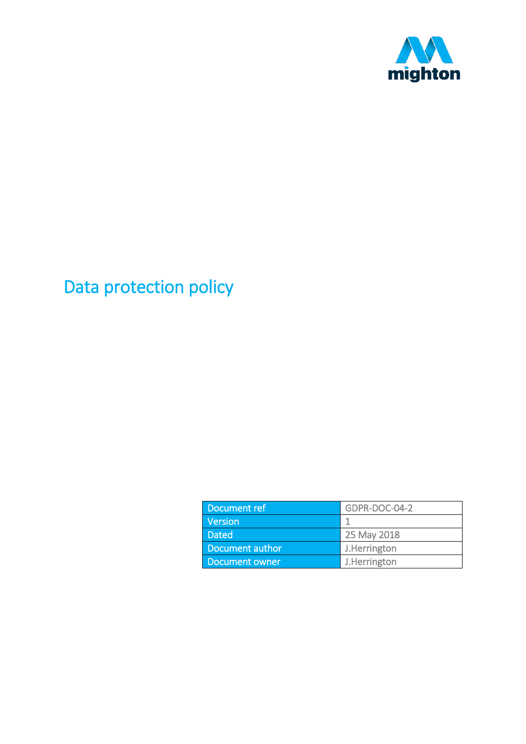

# Data protection policy

| Document ref    | GDPR-DOC-04-2 |
|-----------------|---------------|
| <b>Version</b>  |               |
| <b>Dated</b>    | 25 May 2018   |
| Document author | J.Herrington  |
| Document owner  | J.Herrington  |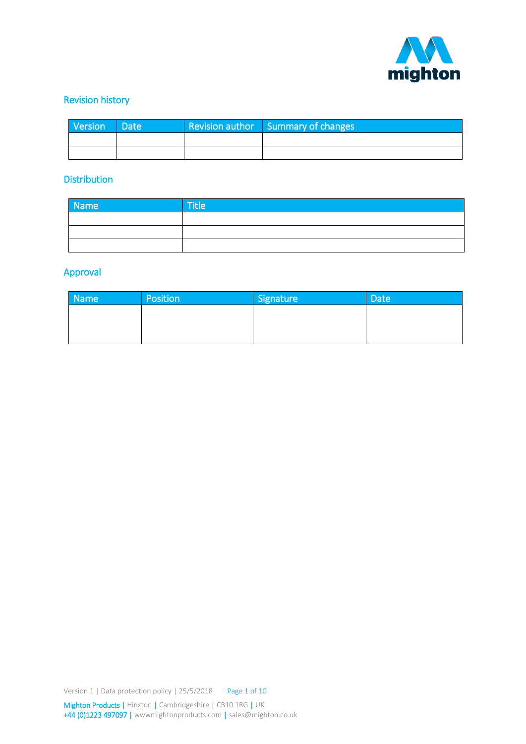

## Revision history

| <b>Version</b> | <b>Date</b> | <b>Revision author</b> Summary of changes |
|----------------|-------------|-------------------------------------------|
|                |             |                                           |
|                |             |                                           |

#### **Distribution**

| Name | <b>Title</b> |
|------|--------------|
|      |              |
|      |              |
|      |              |

## Approval

| <b>Name</b> | Position | Signature | <b>Date</b> |
|-------------|----------|-----------|-------------|
|             |          |           |             |
|             |          |           |             |
|             |          |           |             |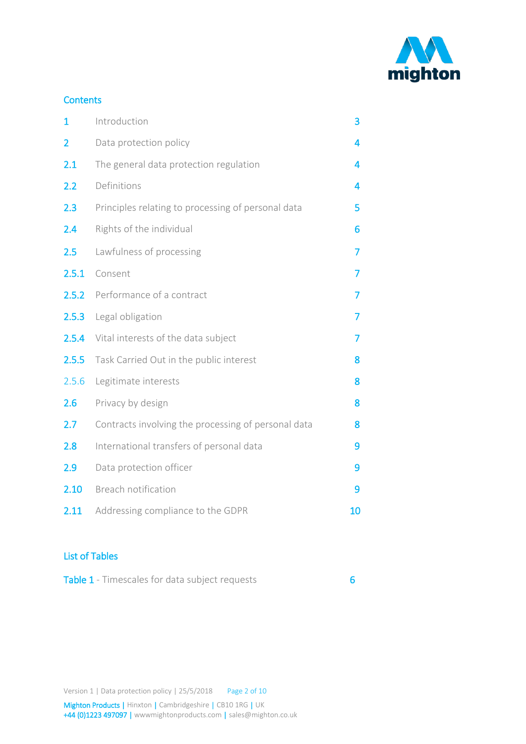

#### **Contents**

| $\mathbf{1}$   | Introduction                                        | 3              |
|----------------|-----------------------------------------------------|----------------|
| $\overline{2}$ | Data protection policy                              | 4              |
| 2.1            | The general data protection regulation              | 4              |
| 2.2            | Definitions                                         | 4              |
| 2.3            | Principles relating to processing of personal data  | 5              |
| 2.4            | Rights of the individual                            | 6              |
| 2.5            | Lawfulness of processing                            | $\overline{7}$ |
| 2.5.1          | Consent                                             | 7              |
| 2.5.2          | Performance of a contract                           | 7              |
| 2.5.3          | Legal obligation                                    | 7              |
| 2.5.4          | Vital interests of the data subject                 | 7              |
| 2.5.5          | Task Carried Out in the public interest             | 8              |
| 2.5.6          | Legitimate interests                                | 8              |
| 2.6            | Privacy by design                                   | 8              |
| 2.7            | Contracts involving the processing of personal data | 8              |
| 2.8            | International transfers of personal data            | 9              |
| 2.9            | Data protection officer                             | 9              |
| 2.10           | <b>Breach notification</b>                          | 9              |
| 2.11           | Addressing compliance to the GDPR                   | 10             |

## List of Tables

| <b>Table 1</b> - Timescales for data subject requests |  |
|-------------------------------------------------------|--|
|-------------------------------------------------------|--|

Version 1 | Data protection policy | 25/5/2018 Page 2 of 10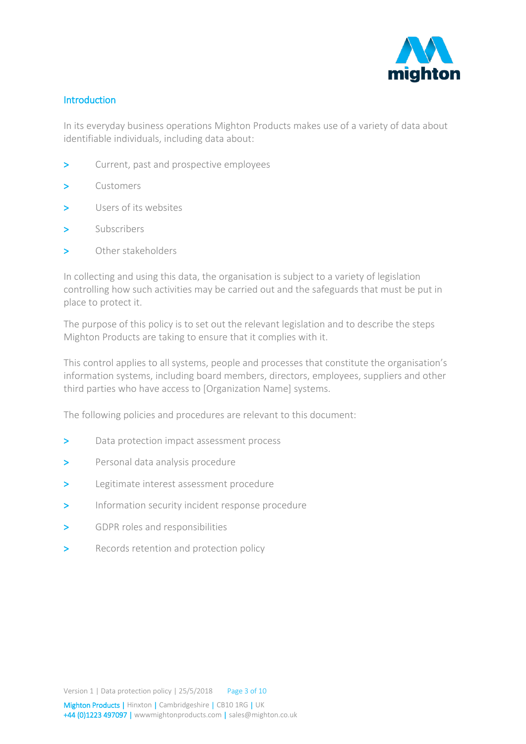

#### <span id="page-3-0"></span>**Introduction**

In its everyday business operations Mighton Products makes use of a variety of data about identifiable individuals, including data about:

- > Current, past and prospective employees
- > Customers
- > Users of its websites
- > Subscribers
- > Other stakeholders

In collecting and using this data, the organisation is subject to a variety of legislation controlling how such activities may be carried out and the safeguards that must be put in place to protect it.

The purpose of this policy is to set out the relevant legislation and to describe the steps Mighton Products are taking to ensure that it complies with it.

This control applies to all systems, people and processes that constitute the organisation's information systems, including board members, directors, employees, suppliers and other third parties who have access to [Organization Name] systems.

The following policies and procedures are relevant to this document:

- > Data protection impact assessment process
- > Personal data analysis procedure
- > Legitimate interest assessment procedure
- > Information security incident response procedure
- > GDPR roles and responsibilities
- > Records retention and protection policy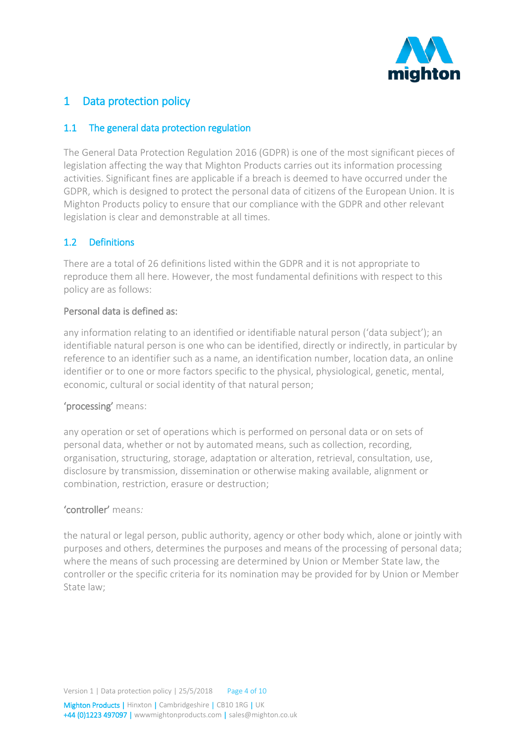

## <span id="page-4-0"></span>1 Data protection policy

## <span id="page-4-1"></span>1.1 The general data protection regulation

The General Data Protection Regulation 2016 (GDPR) is one of the most significant pieces of legislation affecting the way that Mighton Products carries out its information processing activities. Significant fines are applicable if a breach is deemed to have occurred under the GDPR, which is designed to protect the personal data of citizens of the European Union. It is Mighton Products policy to ensure that our compliance with the GDPR and other relevant legislation is clear and demonstrable at all times.

## <span id="page-4-2"></span>1.2 Definitions

There are a total of 26 definitions listed within the GDPR and it is not appropriate to reproduce them all here. However, the most fundamental definitions with respect to this policy are as follows:

#### Personal data is defined as:

any information relating to an identified or identifiable natural person ('data subject'); an identifiable natural person is one who can be identified, directly or indirectly, in particular by reference to an identifier such as a name, an identification number, location data, an online identifier or to one or more factors specific to the physical, physiological, genetic, mental, economic, cultural or social identity of that natural person;

#### 'processing' means:

any operation or set of operations which is performed on personal data or on sets of personal data, whether or not by automated means, such as collection, recording, organisation, structuring, storage, adaptation or alteration, retrieval, consultation, use, disclosure by transmission, dissemination or otherwise making available, alignment or combination, restriction, erasure or destruction;

#### 'controller' means*:*

the natural or legal person, public authority, agency or other body which, alone or jointly with purposes and others, determines the purposes and means of the processing of personal data; where the means of such processing are determined by Union or Member State law, the controller or the specific criteria for its nomination may be provided for by Union or Member State law;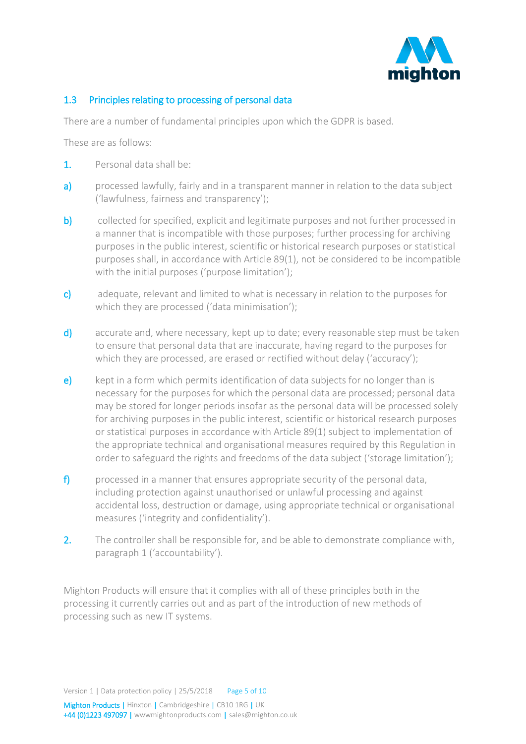

## <span id="page-5-0"></span>1.3 Principles relating to processing of personal data

There are a number of fundamental principles upon which the GDPR is based.

These are as follows:

- 1. Personal data shall be:
- a) processed lawfully, fairly and in a transparent manner in relation to the data subject ('lawfulness, fairness and transparency');
- b) collected for specified, explicit and legitimate purposes and not further processed in a manner that is incompatible with those purposes; further processing for archiving purposes in the public interest, scientific or historical research purposes or statistical purposes shall, in accordance with Article 89(1), not be considered to be incompatible with the initial purposes ('purpose limitation');
- c) adequate, relevant and limited to what is necessary in relation to the purposes for which they are processed ('data minimisation');
- d) accurate and, where necessary, kept up to date; every reasonable step must be taken to ensure that personal data that are inaccurate, having regard to the purposes for which they are processed, are erased or rectified without delay ('accuracy');
- e) kept in a form which permits identification of data subjects for no longer than is necessary for the purposes for which the personal data are processed; personal data may be stored for longer periods insofar as the personal data will be processed solely for archiving purposes in the public interest, scientific or historical research purposes or statistical purposes in accordance with Article 89(1) subject to implementation of the appropriate technical and organisational measures required by this Regulation in order to safeguard the rights and freedoms of the data subject ('storage limitation');
- f) processed in a manner that ensures appropriate security of the personal data, including protection against unauthorised or unlawful processing and against accidental loss, destruction or damage, using appropriate technical or organisational measures ('integrity and confidentiality').
- 2. The controller shall be responsible for, and be able to demonstrate compliance with, paragraph 1 ('accountability').

Mighton Products will ensure that it complies with all of these principles both in the processing it currently carries out and as part of the introduction of new methods of processing such as new IT systems.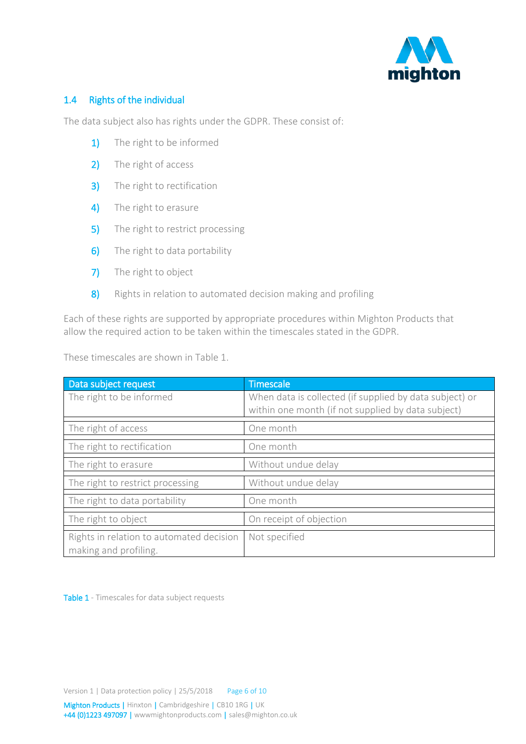

## <span id="page-6-0"></span>1.4 Rights of the individual

The data subject also has rights under the GDPR. These consist of:

- 1) The right to be informed
- 2) The right of access
- 3) The right to rectification
- 4) The right to erasure
- 5) The right to restrict processing
- **6)** The right to data portability
- 7) The right to object
- 8) Rights in relation to automated decision making and profiling

Each of these rights are supported by appropriate procedures within Mighton Products that allow the required action to be taken within the timescales stated in the GDPR.

These timescales are shown in Table 1.

| Data subject request                                              | Timescale                                               |
|-------------------------------------------------------------------|---------------------------------------------------------|
| The right to be informed                                          | When data is collected (if supplied by data subject) or |
|                                                                   | within one month (if not supplied by data subject)      |
| The right of access                                               | One month                                               |
| The right to rectification                                        | One month                                               |
| The right to erasure                                              | Without undue delay                                     |
| The right to restrict processing                                  | Without undue delay                                     |
| The right to data portability                                     | One month                                               |
| The right to object                                               | On receipt of objection                                 |
| Rights in relation to automated decision<br>making and profiling. | Not specified                                           |

<span id="page-6-1"></span>Table 1 - Timescales for data subject requests

Version 1 | Data protection policy | 25/5/2018 Page 6 of 10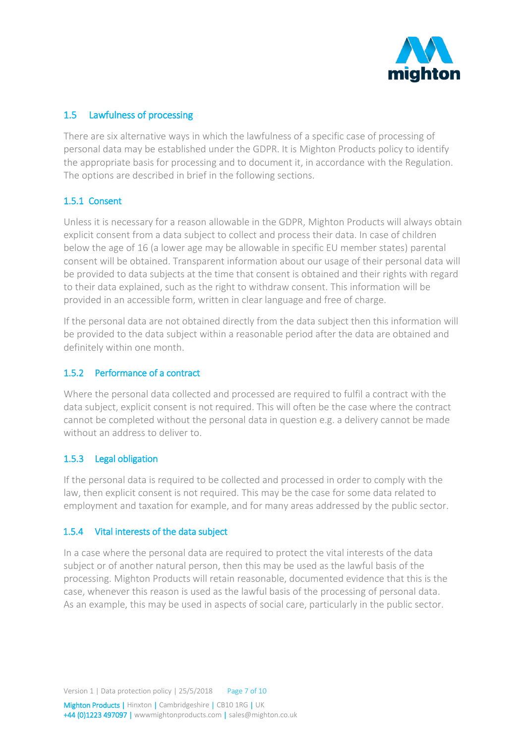

## <span id="page-7-0"></span>1.5 Lawfulness of processing

There are six alternative ways in which the lawfulness of a specific case of processing of personal data may be established under the GDPR. It is Mighton Products policy to identify the appropriate basis for processing and to document it, in accordance with the Regulation. The options are described in brief in the following sections.

## <span id="page-7-1"></span>1.5.1 Consent

Unless it is necessary for a reason allowable in the GDPR, Mighton Products will always obtain explicit consent from a data subject to collect and process their data. In case of children below the age of 16 (a lower age may be allowable in specific EU member states) parental consent will be obtained. Transparent information about our usage of their personal data will be provided to data subjects at the time that consent is obtained and their rights with regard to their data explained, such as the right to withdraw consent. This information will be provided in an accessible form, written in clear language and free of charge.

If the personal data are not obtained directly from the data subject then this information will be provided to the data subject within a reasonable period after the data are obtained and definitely within one month.

#### <span id="page-7-2"></span>1.5.2 Performance of a contract

Where the personal data collected and processed are required to fulfil a contract with the data subject, explicit consent is not required. This will often be the case where the contract cannot be completed without the personal data in question e.g. a delivery cannot be made without an address to deliver to.

## <span id="page-7-3"></span>1.5.3 Legal obligation

If the personal data is required to be collected and processed in order to comply with the law, then explicit consent is not required. This may be the case for some data related to employment and taxation for example, and for many areas addressed by the public sector.

#### <span id="page-7-4"></span>1.5.4 Vital interests of the data subject

In a case where the personal data are required to protect the vital interests of the data subject or of another natural person, then this may be used as the lawful basis of the processing. Mighton Products will retain reasonable, documented evidence that this is the case, whenever this reason is used as the lawful basis of the processing of personal data. As an example, this may be used in aspects of social care, particularly in the public sector.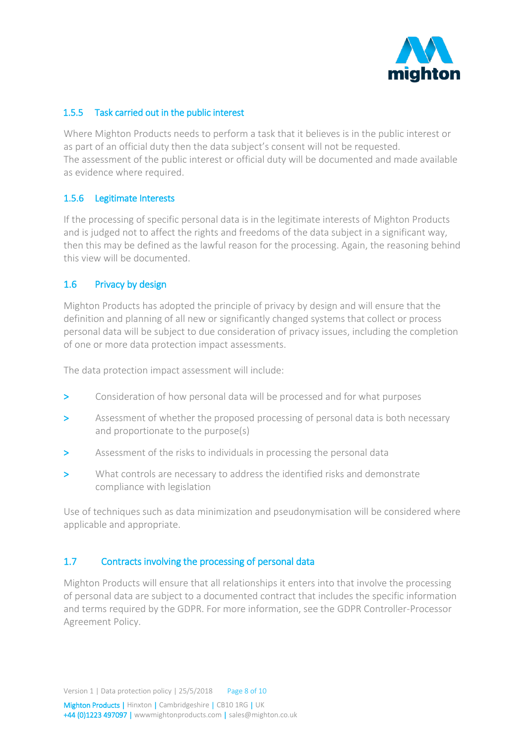

#### <span id="page-8-0"></span>1.5.5 Task carried out in the public interest

Where Mighton Products needs to perform a task that it believes is in the public interest or as part of an official duty then the data subject's consent will not be requested. The assessment of the public interest or official duty will be documented and made available as evidence where required.

#### <span id="page-8-1"></span>1.5.6 Legitimate Interests

If the processing of specific personal data is in the legitimate interests of Mighton Products and is judged not to affect the rights and freedoms of the data subject in a significant way, then this may be defined as the lawful reason for the processing. Again, the reasoning behind this view will be documented.

## <span id="page-8-2"></span>1.6 Privacy by design

Mighton Products has adopted the principle of privacy by design and will ensure that the definition and planning of all new or significantly changed systems that collect or process personal data will be subject to due consideration of privacy issues, including the completion of one or more data protection impact assessments.

The data protection impact assessment will include:

- > Consideration of how personal data will be processed and for what purposes
- > Assessment of whether the proposed processing of personal data is both necessary and proportionate to the purpose(s)
- > Assessment of the risks to individuals in processing the personal data
- > What controls are necessary to address the identified risks and demonstrate compliance with legislation

Use of techniques such as data minimization and pseudonymisation will be considered where applicable and appropriate.

#### <span id="page-8-3"></span>1.7 Contracts involving the processing of personal data

Mighton Products will ensure that all relationships it enters into that involve the processing of personal data are subject to a documented contract that includes the specific information and terms required by the GDPR. For more information, see the GDPR Controller-Processor Agreement Policy.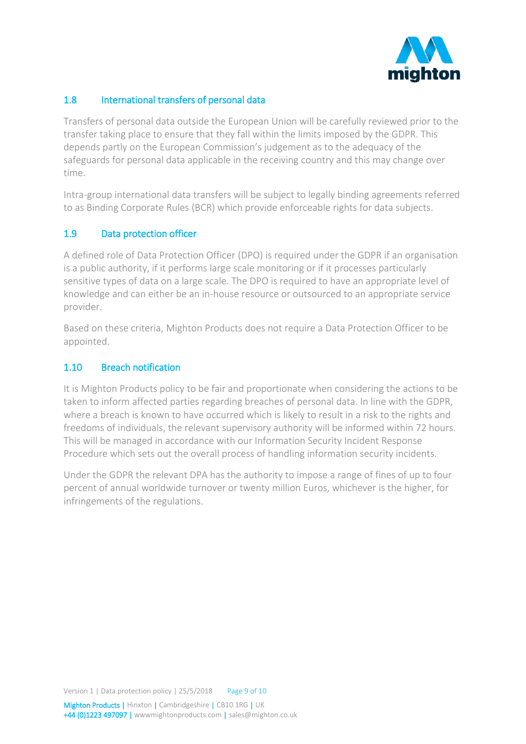

## <span id="page-9-0"></span>1.8 International transfers of personal data

Transfers of personal data outside the European Union will be carefully reviewed prior to the transfer taking place to ensure that they fall within the limits imposed by the GDPR. This depends partly on the European Commission's judgement as to the adequacy of the safeguards for personal data applicable in the receiving country and this may change over time.

Intra-group international data transfers will be subject to legally binding agreements referred to as Binding Corporate Rules (BCR) which provide enforceable rights for data subjects.

## <span id="page-9-1"></span>1.9 Data protection officer

A defined role of Data Protection Officer (DPO) is required under the GDPR if an organisation is a public authority, if it performs large scale monitoring or if it processes particularly sensitive types of data on a large scale. The DPO is required to have an appropriate level of knowledge and can either be an in-house resource or outsourced to an appropriate service provider.

Based on these criteria, Mighton Products does not require a Data Protection Officer to be appointed.

## <span id="page-9-2"></span>1.10 Breach notification

It is Mighton Products policy to be fair and proportionate when considering the actions to be taken to inform affected parties regarding breaches of personal data. In line with the GDPR, where a breach is known to have occurred which is likely to result in a risk to the rights and freedoms of individuals, the relevant supervisory authority will be informed within 72 hours. This will be managed in accordance with our Information Security Incident Response Procedure which sets out the overall process of handling information security incidents.

Under the GDPR the relevant DPA has the authority to impose a range of fines of up to four percent of annual worldwide turnover or twenty million Euros, whichever is the higher, for infringements of the regulations.